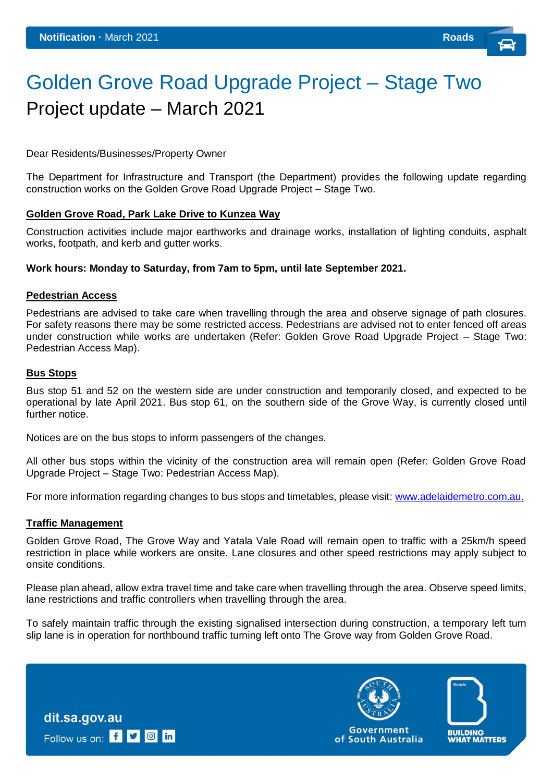# Golden Grove Road Upgrade Project – Stage Two Project update – March 2021

Dear Residents/Businesses/Property Owner

The Department for Infrastructure and Transport (the Department) provides the following update regarding construction works on the Golden Grove Road Upgrade Project – Stage Two.

#### **Golden Grove Road, Park Lake Drive to Kunzea Way**

Construction activities include major earthworks and drainage works, installation of lighting conduits, asphalt works, footpath, and kerb and gutter works.

## **Work hours: Monday to Saturday, from 7am to 5pm, until late September 2021.**

#### **Pedestrian Access**

Pedestrians are advised to take care when travelling through the area and observe signage of path closures. For safety reasons there may be some restricted access. Pedestrians are advised not to enter fenced off areas under construction while works are undertaken (Refer: Golden Grove Road Upgrade Project – Stage Two: Pedestrian Access Map).

#### **Bus Stops**

Bus stop 51 and 52 on the western side are under construction and temporarily closed, and expected to be operational by late April 2021. Bus stop 61, on the southern side of the Grove Way, is currently closed until further notice.

Notices are on the bus stops to inform passengers of the changes.

All other bus stops within the vicinity of the construction area will remain open (Refer: Golden Grove Road Upgrade Project – Stage Two: Pedestrian Access Map).

For more information regarding changes to bus stops and timetables, please visit: [www.adelaidemetro.com.au.](http://www.adelaidemetro.com.au/)

#### **Traffic Management**

Golden Grove Road, The Grove Way and Yatala Vale Road will remain open to traffic with a 25km/h speed restriction in place while workers are onsite. Lane closures and other speed restrictions may apply subject to onsite conditions.

Please plan ahead, allow extra travel time and take care when travelling through the area. Observe speed limits, lane restrictions and traffic controllers when travelling through the area.

To safely maintain traffic through the existing signalised intersection during construction, a temporary left turn slip lane is in operation for northbound traffic turning left onto The Grove way from Golden Grove Road.

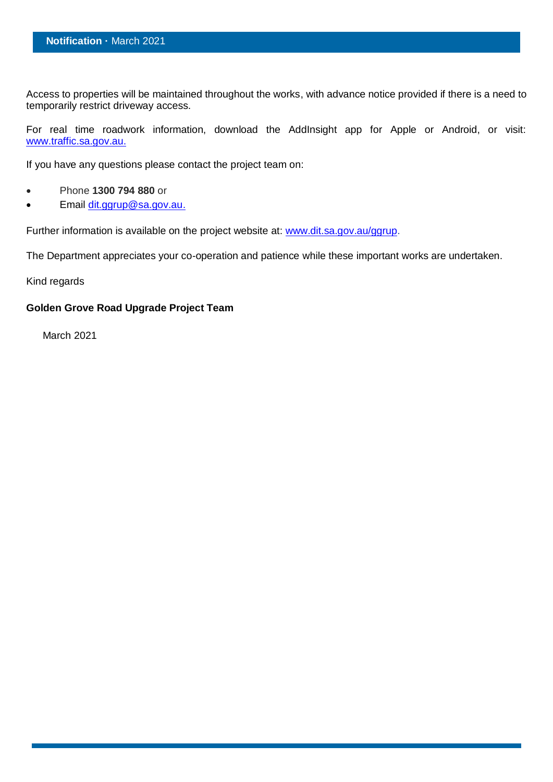Access to properties will be maintained throughout the works, with advance notice provided if there is a need to temporarily restrict driveway access.

For real time roadwork information, download the AddInsight app for Apple or Android, or visit: [www.traffic.sa.gov.au.](http://www.traffic.sa.gov.au/)

If you have any questions please contact the project team on:

- Phone **1300 794 880** or
- Email [dit.ggrup@sa.gov.au.](mailto:dit.ggrup@sa.gov.au)

Further information is available on the project website at: [www.dit.sa.gov.au/ggrup.](http://www.dit.sa.gov.au/ggrup)

The Department appreciates your co-operation and patience while these important works are undertaken.

Kind regards

# **Golden Grove Road Upgrade Project Team**

March 2021